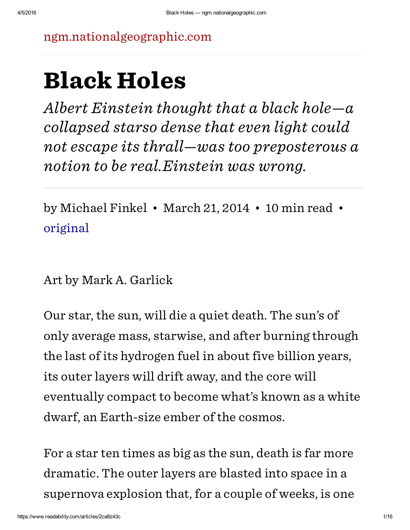#### [ngm.nationalgeographic.com](http://ngm.nationalgeographic.com/2014/03/black-holes/finkel-text)

# Black Holes

Albert Einstein thought that a black hole—a collapsed starso dense that even light could not escape its thrall—was too preposterous a notion to be real.Einstein was wrong.

by Michael Finkel • March 21, 2014 • 10 min read • [original](http://ngm.nationalgeographic.com/2014/03/black-holes/finkel-text)

#### Art by Mark A. Garlick

Our star, the sun, will die a quiet death. The sun's of only average mass, starwise, and after burning through the last of its hydrogen fuel in about five billion years, its outer layers will drift away, and the core will eventually compact to become what's known as a white dwarf, an Earth-size ember of the cosmos.

For a star ten times as big as the sun, death is far more dramatic. The outer layers are blasted into space in a supernova explosion that, for a couple of weeks, is one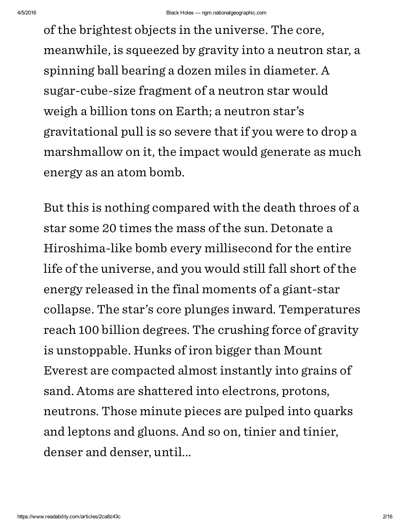of the brightest objects in the universe. The core, meanwhile, is squeezed by gravity into a neutron star, a spinning ball bearing a dozen miles in diameter. A sugar-cube-size fragment of a neutron star would weigh a billion tons on Earth; a neutron star's gravitational pull is so severe that if you were to drop a marshmallow on it, the impact would generate as much energy as an atom bomb.

But this is nothing compared with the death throes of a star some 20 times the mass of the sun. Detonate a Hiroshima-like bomb every millisecond for the entire life of the universe, and you would still fall short of the energy released in the final moments of a giant-star collapse. The star's core plunges inward. Temperatures reach 100 billion degrees. The crushing force of gravity is unstoppable. Hunks of iron bigger than Mount Everest are compacted almost instantly into grains of sand. Atoms are shattered into electrons, protons, neutrons. Those minute pieces are pulped into quarks and leptons and gluons. And so on, tinier and tinier, denser and denser, until...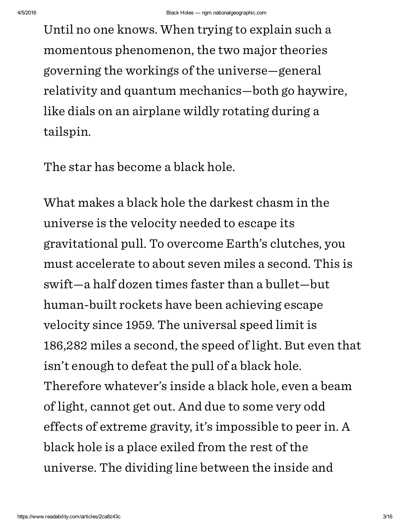Until no one knows. When trying to explain such a momentous phenomenon, the two major theories governing the workings of the universe—general relativity and quantum mechanics—both go haywire, like dials on an airplane wildly rotating during a tailspin.

The star has become a black hole.

What makes a black hole the darkest chasm in the universe is the velocity needed to escape its gravitational pull. To overcome Earth's clutches, you must accelerate to about seven miles a second. This is swift—a half dozen times faster than a bullet—but human-built rockets have been achieving escape velocity since 1959. The universal speed limit is 186,282 miles a second, the speed of light. But even that isn't enough to defeat the pull of a black hole. Therefore whatever's inside a black hole, even a beam of light, cannot get out. And due to some very odd effects of extreme gravity, it's impossible to peer in. A black hole is a place exiled from the rest of the universe. The dividing line between the inside and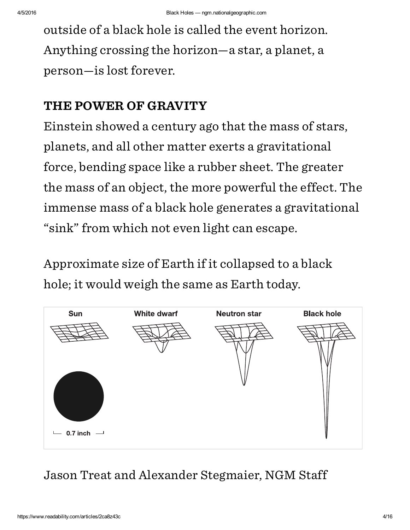outside of a black hole is called the event horizon. Anything crossing the horizon—a star, a planet, a person—is lost forever.

### THE POWER OF GRAVITY

Einstein showed a century ago that the mass of stars, planets, and all other matter exerts a gravitational force, bending space like a rubber sheet. The greater the mass of an object, the more powerful the effect. The immense mass of a black hole generates a gravitational "sink" from which not even light can escape.

Approximate size of Earth if it collapsed to a black hole; it would weigh the same as Earth today.



## Jason Treat and Alexander Stegmaier, NGM Staff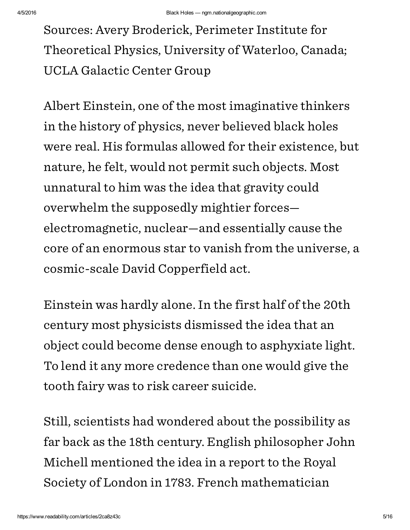Sources: Avery Broderick, Perimeter Institute for Theoretical Physics, University of Waterloo, Canada; UCLA Galactic Center Group

Albert Einstein, one of the most imaginative thinkers in the history of physics, never believed black holes were real. His formulas allowed for their existence, but nature, he felt, would not permit such objects. Most unnatural to him was the idea that gravity could overwhelm the supposedly mightier forces electromagnetic, nuclear—and essentially cause the core of an enormous star to vanish from the universe, a cosmic-scale David Copperfield act.

Einstein was hardly alone. In the first half of the 20th century most physicists dismissed the idea that an object could become dense enough to asphyxiate light. To lend it any more credence than one would give the tooth fairy was to risk career suicide.

Still, scientists had wondered about the possibility as far back as the 18th century. English philosopher John Michell mentioned the idea in a report to the Royal Society of London in 1783. French mathematician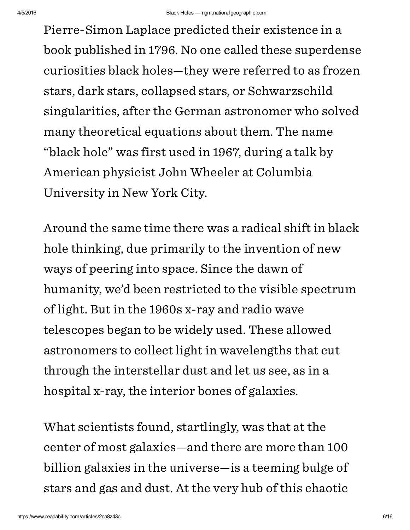Pierre-Simon Laplace predicted their existence in a book published in 1796. No one called these superdense curiosities black holes—they were referred to as frozen stars, dark stars, collapsed stars, or Schwarzschild singularities, after the German astronomer who solved many theoretical equations about them. The name "black hole" was first used in 1967, during a talk by American physicist John Wheeler at Columbia University in New York City.

Around the same time there was a radical shift in black hole thinking, due primarily to the invention of new ways of peering into space. Since the dawn of humanity, we'd been restricted to the visible spectrum of light. But in the 1960s x-ray and radio wave telescopes began to be widely used. These allowed astronomers to collect light in wavelengths that cut through the interstellar dust and let us see, as in a hospital x-ray, the interior bones of galaxies.

What scientists found, startlingly, was that at the center of most galaxies—and there are more than 100 billion galaxies in the universe—is a teeming bulge of stars and gas and dust. At the very hub of this chaotic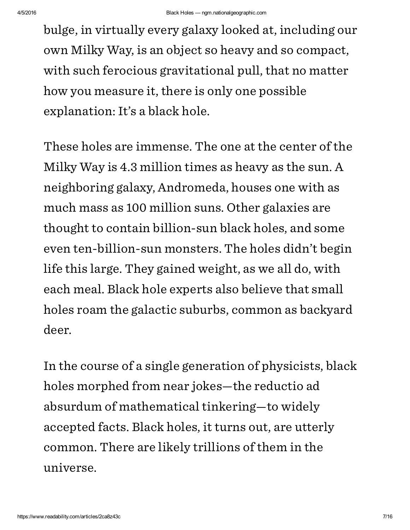bulge, in virtually every galaxy looked at, including our own Milky Way, is an object so heavy and so compact, with such ferocious gravitational pull, that no matter how you measure it, there is only one possible explanation: It's a black hole.

These holes are immense. The one at the center of the Milky Way is 4.3 million times as heavy as the sun. A neighboring galaxy, Andromeda, houses one with as much mass as 100 million suns. Other galaxies are thought to contain billion-sun black holes, and some even ten-billion-sun monsters. The holes didn't begin life this large. They gained weight, as we all do, with each meal. Black hole experts also believe that small holes roam the galactic suburbs, common as backyard deer.

In the course of a single generation of physicists, black holes morphed from near jokes—the reductio ad absurdum of mathematical tinkering—to widely accepted facts. Black holes, it turns out, are utterly common. There are likely trillions of them in the universe.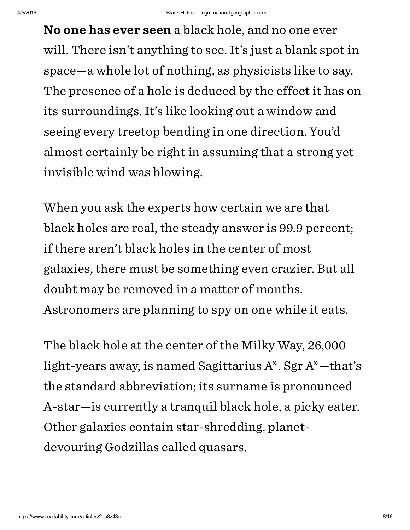No one has ever seen a black hole, and no one ever will. There isn't anything to see. It's just a blank spot in space—a whole lot of nothing, as physicists like to say. The presence of a hole is deduced by the effect it has on its surroundings. It's like looking out a window and seeing every treetop bending in one direction. You'd almost certainly be right in assuming that a strong yet invisible wind was blowing.

When you ask the experts how certain we are that black holes are real, the steady answer is 99.9 percent; if there aren't black holes in the center of most galaxies, there must be something even crazier. But all doubt may be removed in a matter of months. Astronomers are planning to spy on one while it eats.

The black hole at the center of the Milky Way, 26,000 light-years away, is named Sagittarius A\*. Sgr A\*—that's the standard abbreviation; its surname is pronounced A-star—is currently a tranquil black hole, a picky eater. Other galaxies contain star-shredding, planetdevouring Godzillas called quasars.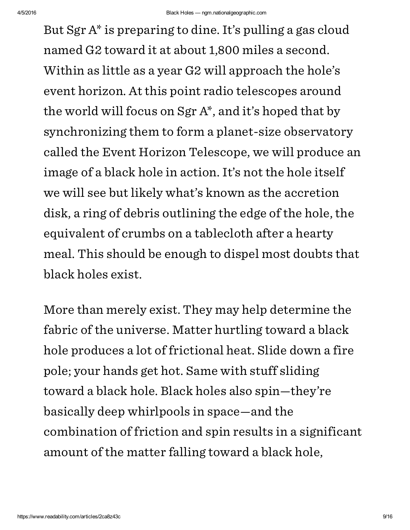But Sgr A\* is preparing to dine. It's pulling a gas cloud named G2 toward it at about 1,800 miles a second. Within as little as a year G2 will approach the hole's event horizon. At this point radio telescopes around the world will focus on Sgr A\* , and it's hoped that by synchronizing them to form a planet-size observatory called the Event Horizon Telescope, we will produce an image of a black hole in action. It's not the hole itself we will see but likely what's known as the accretion disk, a ring of debris outlining the edge of the hole, the equivalent of crumbs on a tablecloth after a hearty meal. This should be enough to dispel most doubts that black holes exist.

More than merely exist. They may help determine the fabric of the universe. Matter hurtling toward a black hole produces a lot of frictional heat. Slide down a fire pole; your hands get hot. Same with stuff sliding toward a black hole. Black holes also spin—they're basically deep whirlpools in space—and the combination of friction and spin results in a significant amount of the matter falling toward a black hole,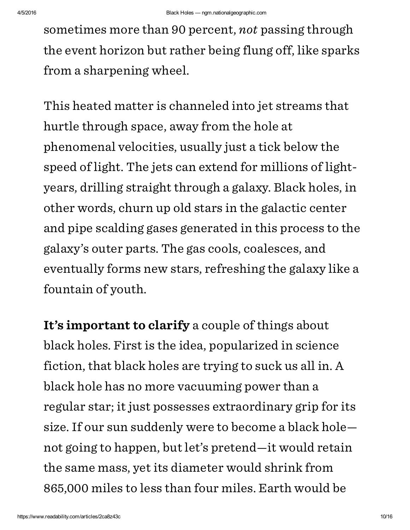sometimes more than 90 percent, not passing through the event horizon but rather being flung off, like sparks from a sharpening wheel.

This heated matter is channeled into jet streams that hurtle through space, away from the hole at phenomenal velocities, usually just a tick below the speed of light. The jets can extend for millions of lightyears, drilling straight through a galaxy. Black holes, in other words, churn up old stars in the galactic center and pipe scalding gases generated in this process to the galaxy's outer parts. The gas cools, coalesces, and eventually forms new stars, refreshing the galaxy like a fountain of youth.

It's important to clarify a couple of things about black holes. First is the idea, popularized in science fiction, that black holes are trying to suck us all in. A black hole has no more vacuuming power than a regular star; it just possesses extraordinary grip for its size. If our sun suddenly were to become a black hole not going to happen, but let's pretend—it would retain the same mass, yet its diameter would shrink from 865,000 miles to less than four miles. Earth would be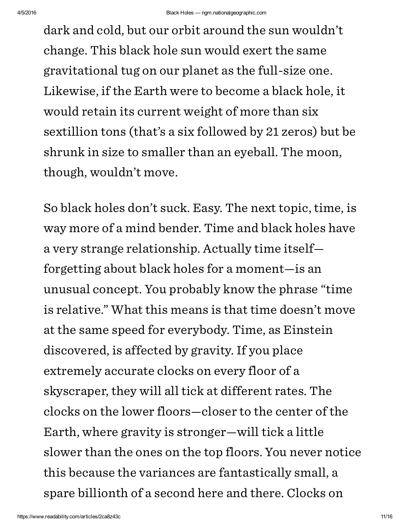dark and cold, but our orbit around the sun wouldn't change. This black hole sun would exert the same gravitational tug on our planet as the full-size one. Likewise, if the Earth were to become a black hole, it would retain its current weight of more than six sextillion tons (that's a six followed by 21 zeros) but be shrunk in size to smaller than an eyeball. The moon, though, wouldn't move.

So black holes don't suck. Easy. The next topic, time, is way more of a mind bender. Time and black holes have a very strange relationship. Actually time itself forgetting about black holes for a moment—is an unusual concept. You probably know the phrase "time is relative." What this means is that time doesn't move at the same speed for everybody. Time, as Einstein discovered, is affected by gravity. If you place extremely accurate clocks on every floor of a skyscraper, they will all tick at different rates. The clocks on the lower floors—closer to the center of the Earth, where gravity is stronger—will tick a little slower than the ones on the top floors. You never notice this because the variances are fantastically small, a spare billionth of a second here and there. Clocks on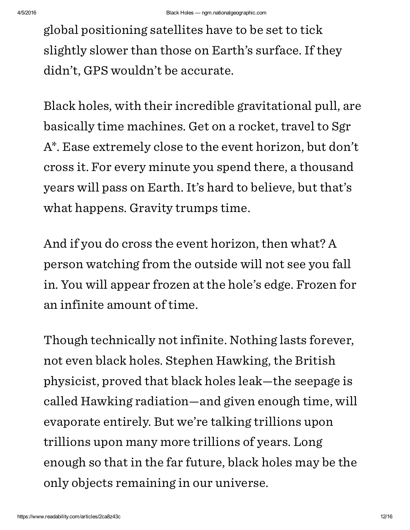global positioning satellites have to be set to tick slightly slower than those on Earth's surface. If they didn't, GPS wouldn't be accurate.

Black holes, with their incredible gravitational pull, are basically time machines. Get on a rocket, travel to Sgr A\*. Ease extremely close to the event horizon, but don't cross it. For every minute you spend there, a thousand years will pass on Earth. It's hard to believe, but that's what happens. Gravity trumps time.

And if you do cross the event horizon, then what? A person watching from the outside will not see you fall in. You will appear frozen at the hole's edge. Frozen for an infinite amount of time.

Though technically not infinite. Nothing lasts forever, not even black holes. Stephen Hawking, the British physicist, proved that black holes leak—the seepage is called Hawking radiation—and given enough time, will evaporate entirely. But we're talking trillions upon trillions upon many more trillions of years. Long enough so that in the far future, black holes may be the only objects remaining in our universe.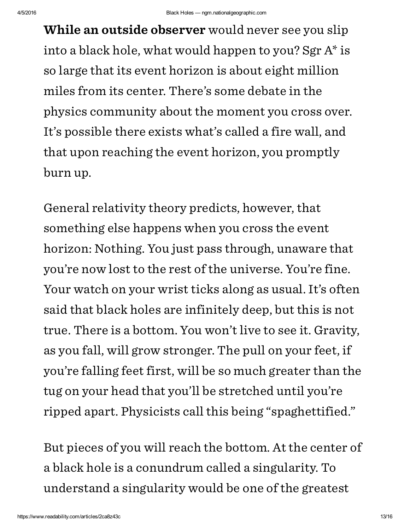While an outside observer would never see you slip into a black hole, what would happen to you? Sgr A\* is so large that its event horizon is about eight million miles from its center. There's some debate in the physics community about the moment you cross over. It's possible there exists what's called a fire wall, and that upon reaching the event horizon, you promptly burn up.

General relativity theory predicts, however, that something else happens when you cross the event horizon: Nothing. You just pass through, unaware that you're now lost to the rest of the universe. You're fine. Your watch on your wrist ticks along as usual. It's often said that black holes are infinitely deep, but this is not true. There is a bottom. You won't live to see it. Gravity, as you fall, will grow stronger. The pull on your feet, if you're falling feet first, will be so much greater than the tug on your head that you'll be stretched until you're ripped apart. Physicists call this being "spaghettified."

But pieces of you will reach the bottom. At the center of a black hole is a conundrum called a singularity. To understand a singularity would be one of the greatest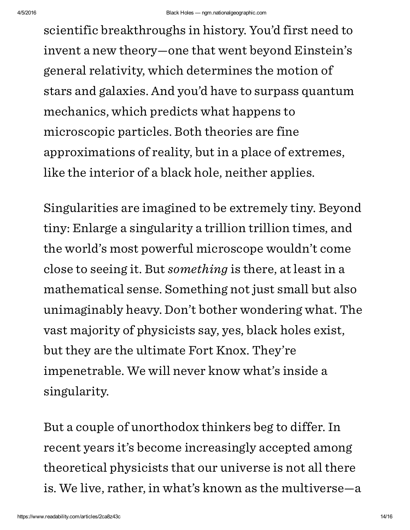scientific breakthroughs in history. You'd first need to invent a new theory—one that went beyond Einstein's general relativity, which determines the motion of stars and galaxies. And you'd have to surpass quantum mechanics, which predicts what happens to microscopic particles. Both theories are fine approximations of reality, but in a place of extremes, like the interior of a black hole, neither applies.

Singularities are imagined to be extremely tiny. Beyond tiny: Enlarge a singularity a trillion trillion times, and the world's most powerful microscope wouldn't come close to seeing it. But something is there, at least in a mathematical sense. Something not just small but also unimaginably heavy. Don't bother wondering what. The vast majority of physicists say, yes, black holes exist, but they are the ultimate Fort Knox. They're impenetrable. We will never know what's inside a singularity.

But a couple of unorthodox thinkers beg to differ. In recent years it's become increasingly accepted among theoretical physicists that our universe is not all there is. We live, rather, in what's known as the multiverse—a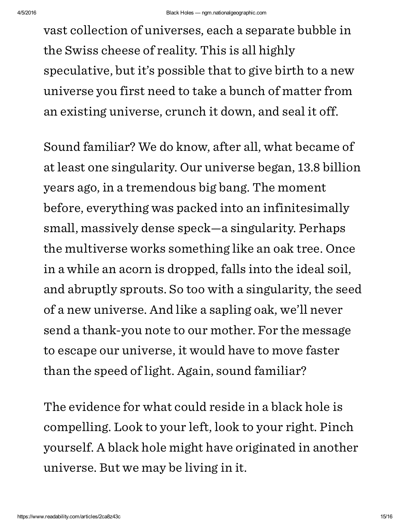vast collection of universes, each a separate bubble in the Swiss cheese of reality. This is all highly speculative, but it's possible that to give birth to a new universe you first need to take a bunch of matter from an existing universe, crunch it down, and seal it off.

Sound familiar? We do know, after all, what became of at least one singularity. Our universe began, 13.8 billion years ago, in a tremendous big bang. The moment before, everything was packed into an infinitesimally small, massively dense speck—a singularity. Perhaps the multiverse works something like an oak tree. Once in a while an acorn is dropped, falls into the ideal soil, and abruptly sprouts. So too with a singularity, the seed of a new universe. And like a sapling oak, we'll never send a thank-you note to our mother. For the message to escape our universe, it would have to move faster than the speed of light. Again, sound familiar?

The evidence for what could reside in a black hole is compelling. Look to your left, look to your right. Pinch yourself. A black hole might have originated in another universe. But we may be living in it.